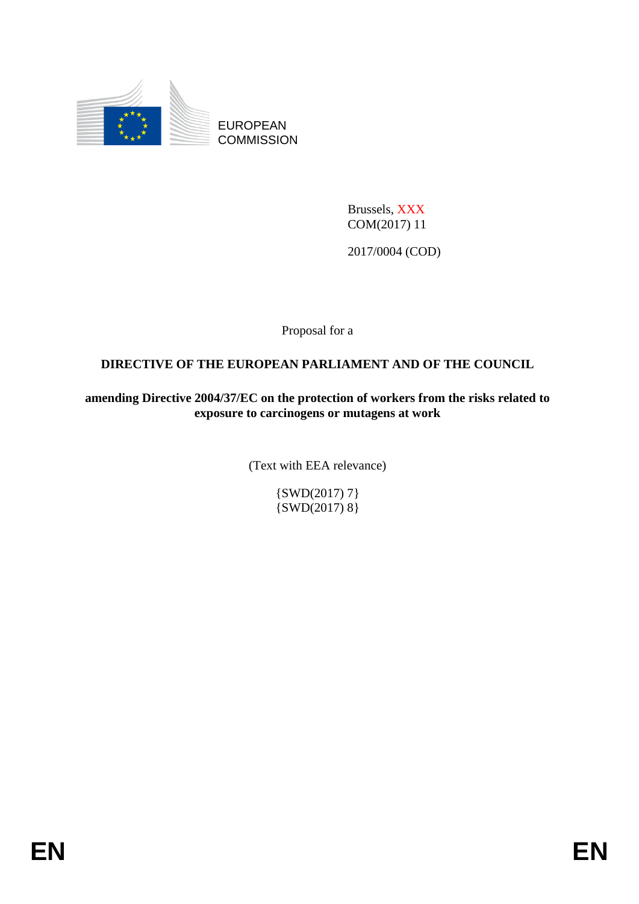

EUROPEAN **COMMISSION** 

> Brussels, XXX COM(2017) 11

2017/0004 (COD)

Proposal for a

# **DIRECTIVE OF THE EUROPEAN PARLIAMENT AND OF THE COUNCIL**

**amending Directive 2004/37/EC on the protection of workers from the risks related to exposure to carcinogens or mutagens at work** 

(Text with EEA relevance)

{SWD(2017) 7} {SWD(2017) 8}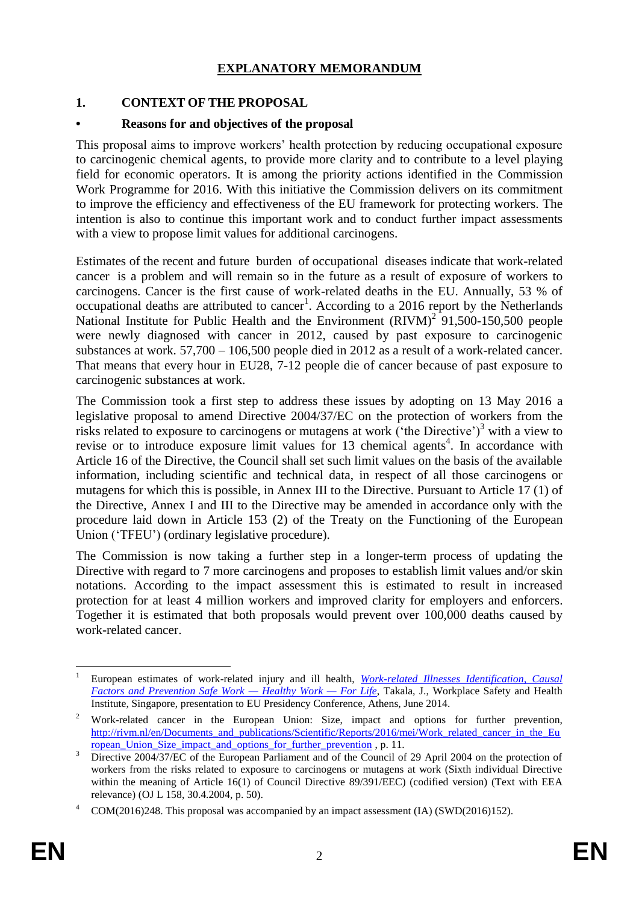# **EXPLANATORY MEMORANDUM**

## **1. CONTEXT OF THE PROPOSAL**

#### **• Reasons for and objectives of the proposal**

This proposal aims to improve workers' health protection by reducing occupational exposure to carcinogenic chemical agents, to provide more clarity and to contribute to a level playing field for economic operators. It is among the priority actions identified in the Commission Work Programme for 2016. With this initiative the Commission delivers on its commitment to improve the efficiency and effectiveness of the EU framework for protecting workers. The intention is also to continue this important work and to conduct further impact assessments with a view to propose limit values for additional carcinogens.

Estimates of the recent and future burden of occupational diseases indicate that work-related cancer is a problem and will remain so in the future as a result of exposure of workers to carcinogens. Cancer is the first cause of work-related deaths in the EU. Annually, 53 % of occupational deaths are attributed to cancer<sup>1</sup>. According to a 2016 report by the Netherlands National Institute for Public Health and the Environment  $(RIVM)^2$  91,500-150,500 people were newly diagnosed with cancer in 2012, caused by past exposure to carcinogenic substances at work. 57,700 – 106,500 people died in 2012 as a result of a work-related cancer. That means that every hour in EU28, 7-12 people die of cancer because of past exposure to carcinogenic substances at work.

The Commission took a first step to address these issues by adopting on 13 May 2016 a legislative proposal to amend Directive 2004/37/EC on the protection of workers from the risks related to exposure to carcinogens or mutagens at work ('the Directive')<sup>3</sup> with a view to revise or to introduce exposure limit values for  $13$  chemical agents<sup>4</sup>. In accordance with Article 16 of the Directive, the Council shall set such limit values on the basis of the available information, including scientific and technical data, in respect of all those carcinogens or mutagens for which this is possible, in Annex III to the Directive. Pursuant to Article 17 (1) of the Directive, Annex I and III to the Directive may be amended in accordance only with the procedure laid down in Article 153 (2) of the Treaty on the Functioning of the European Union ('TFEU') (ordinary legislative procedure).

The Commission is now taking a further step in a longer-term process of updating the Directive with regard to 7 more carcinogens and proposes to establish limit values and/or skin notations. According to the impact assessment this is estimated to result in increased protection for at least 4 million workers and improved clarity for employers and enforcers. Together it is estimated that both proposals would prevent over 100,000 deaths caused by work-related cancer.

<sup>1</sup> <sup>1</sup> European estimates of work-related injury and ill health, *[Work-related Illnesses Identification, Causal](http://gr2014.eu/sites/default/files/Work-related%20Illnesses%20Identification,%20Causal%20Factors%20and%20Prevention%20%E2%80%9CSafe%20Work%20-%20Healthy%20Work%20%E2%80%93%20For%20Life%E2%80%9D_0.pdf)  [Factors and Prevention Safe Work —](http://gr2014.eu/sites/default/files/Work-related%20Illnesses%20Identification,%20Causal%20Factors%20and%20Prevention%20%E2%80%9CSafe%20Work%20-%20Healthy%20Work%20%E2%80%93%20For%20Life%E2%80%9D_0.pdf) Healthy Work — For Life*, Takala, J., Workplace Safety and Health Institute, Singapore, presentation to EU Presidency Conference, Athens, June 2014.

<sup>2</sup> Work-related cancer in the European Union: Size, impact and options for further prevention, [http://rivm.nl/en/Documents\\_and\\_publications/Scientific/Reports/2016/mei/Work\\_related\\_cancer\\_in\\_the\\_Eu](http://rivm.nl/en/Documents_and_publications/Scientific/Reports/2016/mei/Work_related_cancer_in_the_European_Union_Size_impact_and_options_for_further_prevention) ropean Union Size impact and options for further prevention, p. 11.

<sup>&</sup>lt;sup>3</sup> Directive 2004/37/EC of the European Parliament and of the Council of 29 April 2004 on the protection of workers from the risks related to exposure to carcinogens or mutagens at work (Sixth individual Directive within the meaning of Article 16(1) of Council Directive 89/391/EEC) (codified version) (Text with EEA relevance) (OJ L 158, 30.4.2004, p. 50).

<sup>4</sup> COM(2016)248. This proposal was accompanied by an impact assessment (IA) (SWD(2016)152).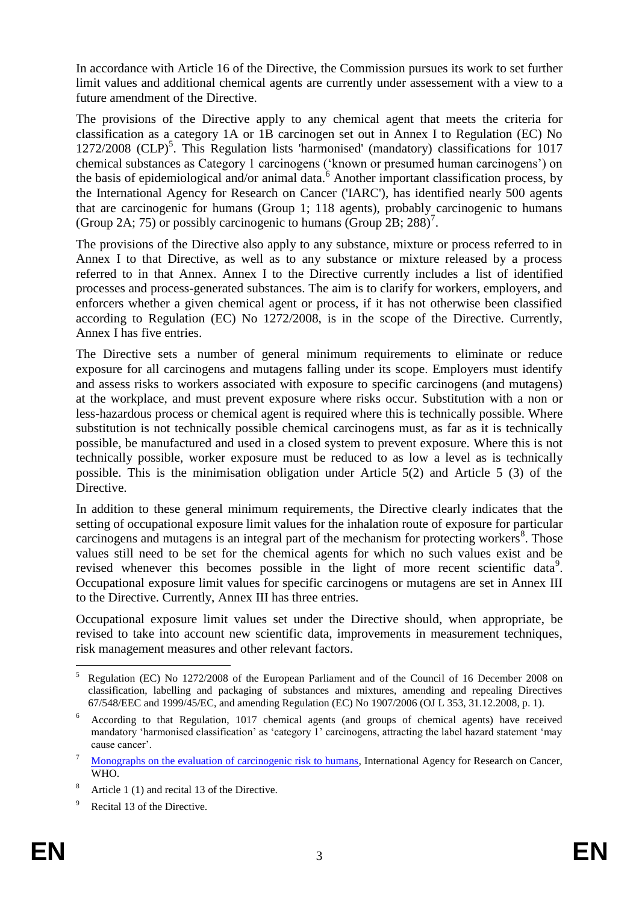In accordance with Article 16 of the Directive, the Commission pursues its work to set further limit values and additional chemical agents are currently under assessement with a view to a future amendment of the Directive.

The provisions of the Directive apply to any chemical agent that meets the criteria for classification as a category 1A or 1B carcinogen set out in Annex I to Regulation (EC) No 1272/2008 (CLP)<sup>5</sup>. This Regulation lists 'harmonised' (mandatory) classifications for 1017 chemical substances as Category 1 carcinogens ('known or presumed human carcinogens') on the basis of epidemiological and/or animal data. $\delta$  Another important classification process, by the International Agency for Research on Cancer ('IARC'), has identified nearly 500 agents that are carcinogenic for humans (Group 1; 118 agents), probably carcinogenic to humans (Group 2A; 75) or possibly carcinogenic to humans (Group 2B; 288)<sup>7</sup>.

The provisions of the Directive also apply to any substance, mixture or process referred to in Annex I to that Directive, as well as to any substance or mixture released by a process referred to in that Annex. Annex I to the Directive currently includes a list of identified processes and process-generated substances. The aim is to clarify for workers, employers, and enforcers whether a given chemical agent or process, if it has not otherwise been classified according to Regulation (EC) No 1272/2008, is in the scope of the Directive. Currently, Annex I has five entries.

The Directive sets a number of general minimum requirements to eliminate or reduce exposure for all carcinogens and mutagens falling under its scope. Employers must identify and assess risks to workers associated with exposure to specific carcinogens (and mutagens) at the workplace, and must prevent exposure where risks occur. Substitution with a non or less-hazardous process or chemical agent is required where this is technically possible. Where substitution is not technically possible chemical carcinogens must, as far as it is technically possible, be manufactured and used in a closed system to prevent exposure. Where this is not technically possible, worker exposure must be reduced to as low a level as is technically possible. This is the minimisation obligation under Article 5(2) and Article 5 (3) of the Directive.

In addition to these general minimum requirements, the Directive clearly indicates that the setting of occupational exposure limit values for the inhalation route of exposure for particular carcinogens and mutagens is an integral part of the mechanism for protecting workers<sup>8</sup>. Those values still need to be set for the chemical agents for which no such values exist and be revised whenever this becomes possible in the light of more recent scientific data<sup>9</sup>. Occupational exposure limit values for specific carcinogens or mutagens are set in Annex III to the Directive. Currently, Annex III has three entries.

Occupational exposure limit values set under the Directive should, when appropriate, be revised to take into account new scientific data, improvements in measurement techniques, risk management measures and other relevant factors.

<sup>&</sup>lt;u>.</u> <sup>5</sup> Regulation (EC) No 1272/2008 of the European Parliament and of the Council of 16 December 2008 on classification, labelling and packaging of substances and mixtures, amending and repealing Directives 67/548/EEC and 1999/45/EC, and amending Regulation (EC) No 1907/2006 (OJ L 353, 31.12.2008, p. 1).

<sup>6</sup> According to that Regulation, 1017 chemical agents (and groups of chemical agents) have received mandatory 'harmonised classification' as 'category 1' carcinogens, attracting the label hazard statement 'may cause cancer'.

<sup>&</sup>lt;sup>7</sup> [Monographs on the evaluation of carcinogenic risk to humans,](http://monographs.iarc.fr/ENG/Classification/latest_classif.php) International Agency for Research on Cancer, WHO.

Article 1 (1) and recital 13 of the Directive.

Recital 13 of the Directive.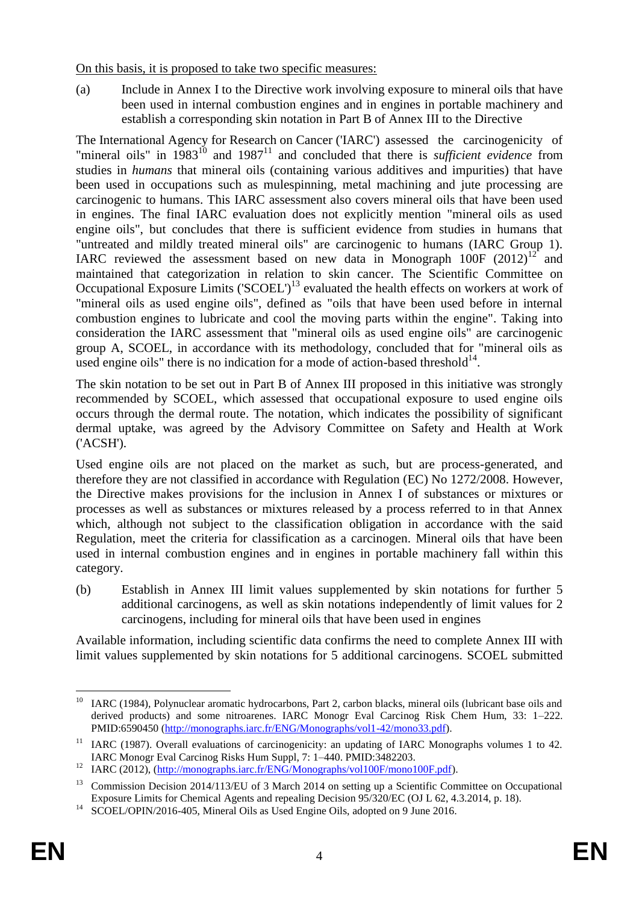On this basis, it is proposed to take two specific measures:

(a) Include in Annex I to the Directive work involving exposure to mineral oils that have been used in internal combustion engines and in engines in portable machinery and establish a corresponding skin notation in Part B of Annex III to the Directive

The International Agency for Research on Cancer ('IARC') assessed the carcinogenicity of "mineral oils" in 1983<sup>10</sup> and 1987<sup>11</sup> and concluded that there is *sufficient evidence* from studies in *humans* that mineral oils (containing various additives and impurities) that have been used in occupations such as mulespinning, metal machining and jute processing are carcinogenic to humans. This IARC assessment also covers mineral oils that have been used in engines. The final IARC evaluation does not explicitly mention "mineral oils as used engine oils", but concludes that there is sufficient evidence from studies in humans that "untreated and mildly treated mineral oils" are carcinogenic to humans (IARC Group 1). IARC reviewed the assessment based on new data in Monograph  $100F (2012)^{12}$  and maintained that categorization in relation to skin cancer. The Scientific Committee on Occupational Exposure Limits ('SCOEL')<sup>13</sup> evaluated the health effects on workers at work of "mineral oils as used engine oils", defined as "oils that have been used before in internal combustion engines to lubricate and cool the moving parts within the engine". Taking into consideration the IARC assessment that "mineral oils as used engine oils" are carcinogenic group A, SCOEL, in accordance with its methodology, concluded that for "mineral oils as used engine oils" there is no indication for a mode of action-based threshold $^{14}$ .

The skin notation to be set out in Part B of Annex III proposed in this initiative was strongly recommended by SCOEL, which assessed that occupational exposure to used engine oils occurs through the dermal route. The notation, which indicates the possibility of significant dermal uptake, was agreed by the Advisory Committee on Safety and Health at Work ('ACSH').

Used engine oils are not placed on the market as such, but are process-generated, and therefore they are not classified in accordance with Regulation (EC) No 1272/2008. However, the Directive makes provisions for the inclusion in Annex I of substances or mixtures or processes as well as substances or mixtures released by a process referred to in that Annex which, although not subject to the classification obligation in accordance with the said Regulation, meet the criteria for classification as a carcinogen. Mineral oils that have been used in internal combustion engines and in engines in portable machinery fall within this category.

(b) Establish in Annex III limit values supplemented by skin notations for further 5 additional carcinogens, as well as skin notations independently of limit values for 2 carcinogens, including for mineral oils that have been used in engines

Available information, including scientific data confirms the need to complete Annex III with limit values supplemented by skin notations for 5 additional carcinogens. SCOEL submitted

 $10\,$ <sup>10</sup> IARC (1984), Polynuclear aromatic hydrocarbons, Part 2, carbon blacks, mineral oils (lubricant base oils and derived products) and some nitroarenes. IARC Monogr Eval Carcinog Risk Chem Hum, 33: 1–222. PMID:6590450 [\(http://monographs.iarc.fr/ENG/Monographs/vol1-42/mono33.pdf\)](http://monographs.iarc.fr/ENG/Monographs/vol1-42/mono33.pdf).

<sup>&</sup>lt;sup>11</sup> IARC (1987). Overall evaluations of carcinogenicity: an updating of IARC Monographs volumes 1 to 42. IARC Monogr Eval Carcinog Risks Hum Suppl, 7: 1–440. PMID:3482203.

<sup>&</sup>lt;sup>12</sup> IARC (2012), [\(http://monographs.iarc.fr/ENG/Monographs/vol100F/mono100F.pdf\)](http://monographs.iarc.fr/ENG/Monographs/vol100F/mono100F.pdf).

<sup>&</sup>lt;sup>13</sup> Commission Decision 2014/113/EU of 3 March 2014 on setting up a Scientific Committee on Occupational Exposure Limits for Chemical Agents and repealing Decision 95/320/EC (OJ L 62, 4.3.2014, p. 18).

<sup>&</sup>lt;sup>14</sup> SCOEL/OPIN/2016-405, Mineral Oils as Used Engine Oils, adopted on 9 June 2016.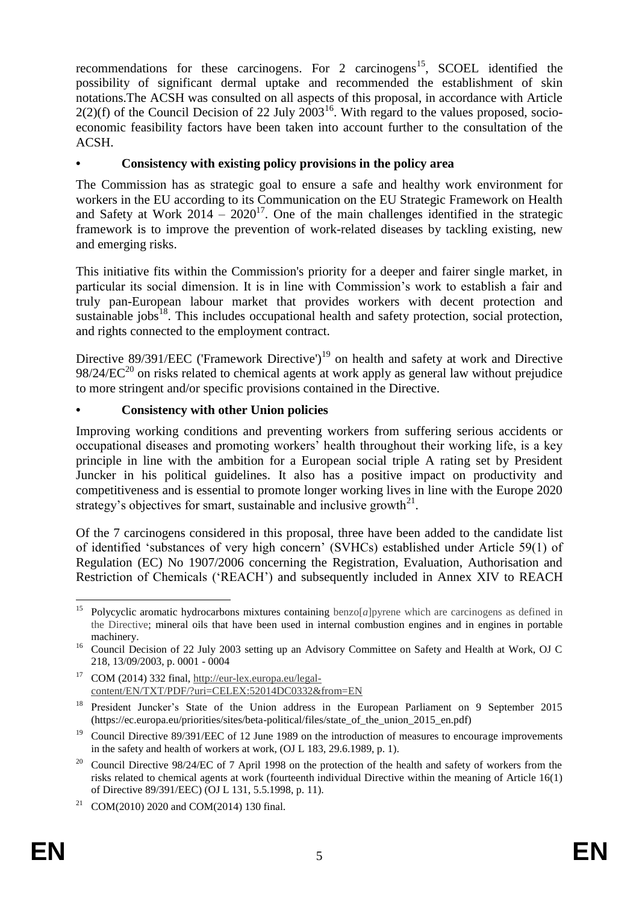recommendations for these carcinogens. For 2 carcinogens<sup>15</sup>, SCOEL identified the possibility of significant dermal uptake and recommended the establishment of skin notations.The ACSH was consulted on all aspects of this proposal, in accordance with Article  $2(2)(f)$  of the Council Decision of 22 July  $2003^{16}$ . With regard to the values proposed, socioeconomic feasibility factors have been taken into account further to the consultation of the ACSH.

# **• Consistency with existing policy provisions in the policy area**

The Commission has as strategic goal to ensure a safe and healthy work environment for workers in the EU according to its Communication on the EU Strategic Framework on Health and Safety at Work  $2014 - 2020^{17}$ . One of the main challenges identified in the strategic framework is to improve the prevention of work-related diseases by tackling existing, new and emerging risks.

This initiative fits within the Commission's priority for a deeper and fairer single market, in particular its social dimension. It is in line with Commission's work to establish a fair and truly pan-European labour market that provides workers with decent protection and sustainable jobs<sup>18</sup>. This includes occupational health and safety protection, social protection, and rights connected to the employment contract.

Directive  $89/391/EEC$  ('Framework Directive')<sup>19</sup> on health and safety at work and Directive  $98/24/EC^{20}$  on risks related to chemical agents at work apply as general law without prejudice to more stringent and/or specific provisions contained in the Directive.

## **• Consistency with other Union policies**

Improving working conditions and preventing workers from suffering serious accidents or occupational diseases and promoting workers' health throughout their working life, is a key principle in line with the ambition for a European social triple A rating set by President Juncker in his political guidelines. It also has a positive impact on productivity and competitiveness and is essential to promote longer working lives in line with the Europe 2020 strategy's objectives for smart, sustainable and inclusive growth $2<sup>1</sup>$ .

Of the 7 carcinogens considered in this proposal, three have been added to the candidate list of identified 'substances of very high concern' (SVHCs) established under Article 59(1) of Regulation (EC) No 1907/2006 concerning the Registration, Evaluation, Authorisation and Restriction of Chemicals ('REACH') and subsequently included in Annex XIV to REACH

 $15$ Polycyclic aromatic hydrocarbons mixtures containing benzo[*a*]pyrene which are carcinogens as defined in the Directive; mineral oils that have been used in internal combustion engines and in engines in portable machinery.

<sup>&</sup>lt;sup>16</sup> Council Decision of 22 July 2003 setting up an Advisory Committee on Safety and Health at Work, OJ C 218, 13/09/2003, p. 0001 - 0004

<sup>17</sup> COM (2014) 332 final, [http://eur-lex.europa.eu/legal](http://eur-lex.europa.eu/legal-content/EN/TXT/PDF/?uri=CELEX:52014DC0332&from=EN)[content/EN/TXT/PDF/?uri=CELEX:52014DC0332&from=EN](http://eur-lex.europa.eu/legal-content/EN/TXT/PDF/?uri=CELEX:52014DC0332&from=EN)

<sup>&</sup>lt;sup>18</sup> President Juncker's State of the Union address in the European Parliament on 9 September 2015 (https://ec.europa.eu/priorities/sites/beta-political/files/state\_of\_the\_union\_2015\_en.pdf)

<sup>&</sup>lt;sup>19</sup> Council Directive 89/391/EEC of 12 June 1989 on the introduction of measures to encourage improvements in the safety and health of workers at work, (OJ L 183, 29.6.1989, p. 1).

<sup>20</sup> Council Directive 98/24/EC of 7 April 1998 on the protection of the health and safety of workers from the risks related to chemical agents at work (fourteenth individual Directive within the meaning of Article 16(1) of Directive 89/391/EEC) (OJ L 131, 5.5.1998, p. 11).

<sup>&</sup>lt;sup>21</sup> COM(2010) 2020 and COM(2014) 130 final.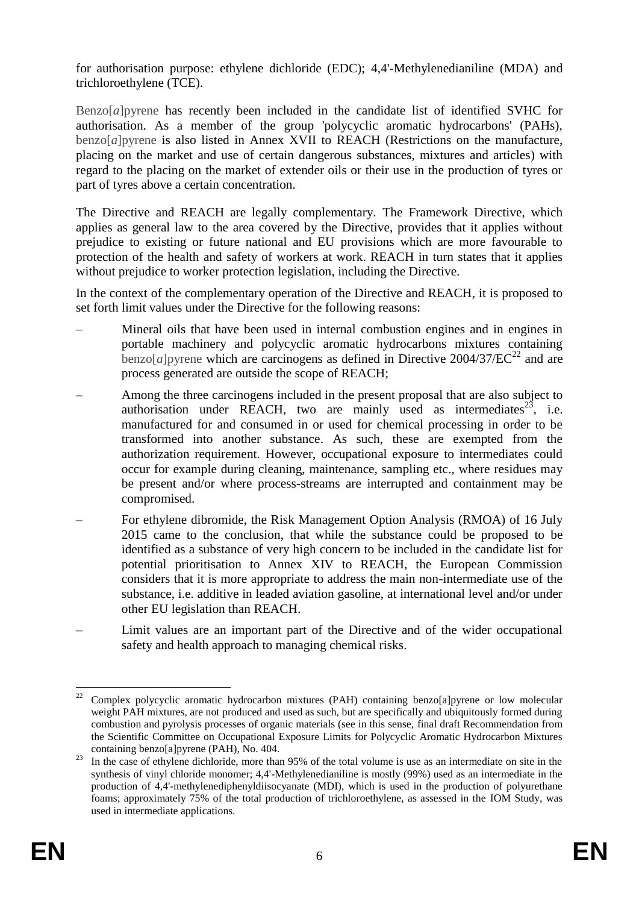for authorisation purpose: ethylene dichloride (EDC); 4,4'-Methylenedianiline (MDA) and trichloroethylene (TCE).

Benzo[*a*]pyrene has recently been included in the candidate list of identified SVHC for authorisation. As a member of the group 'polycyclic aromatic hydrocarbons' (PAHs), benzo[*a*]pyrene is also listed in Annex XVII to REACH (Restrictions on the manufacture, placing on the market and use of certain dangerous substances, mixtures and articles) with regard to the placing on the market of extender oils or their use in the production of tyres or part of tyres above a certain concentration.

The Directive and REACH are legally complementary. The Framework Directive, which applies as general law to the area covered by the Directive, provides that it applies without prejudice to existing or future national and EU provisions which are more favourable to protection of the health and safety of workers at work. REACH in turn states that it applies without prejudice to worker protection legislation, including the Directive.

In the context of the complementary operation of the Directive and REACH, it is proposed to set forth limit values under the Directive for the following reasons:

- Mineral oils that have been used in internal combustion engines and in engines in portable machinery and polycyclic aromatic hydrocarbons mixtures containing benzo[*a*] pyrene which are carcinogens as defined in Directive  $2004/37/EC^{22}$  and are process generated are outside the scope of REACH;
- Among the three carcinogens included in the present proposal that are also subject to authorisation under REACH, two are mainly used as intermediates<sup>23</sup>, i.e. manufactured for and consumed in or used for chemical processing in order to be transformed into another substance. As such, these are exempted from the authorization requirement. However, occupational exposure to intermediates could occur for example during cleaning, maintenance, sampling etc., where residues may be present and/or where process-streams are interrupted and containment may be compromised.
- For ethylene dibromide, the Risk Management Option Analysis (RMOA) of 16 July 2015 came to the conclusion, that while the substance could be proposed to be identified as a substance of very high concern to be included in the candidate list for potential prioritisation to Annex XIV to REACH, the European Commission considers that it is more appropriate to address the main non-intermediate use of the substance, i.e. additive in leaded aviation gasoline, at international level and/or under other EU legislation than REACH.
- Limit values are an important part of the Directive and of the wider occupational safety and health approach to managing chemical risks.

<sup>22</sup> <sup>22</sup> Complex polycyclic aromatic hydrocarbon mixtures (PAH) containing benzo[a]pyrene or low molecular weight PAH mixtures, are not produced and used as such, but are specifically and ubiquitously formed during combustion and pyrolysis processes of organic materials (see in this sense, final draft Recommendation from the Scientific Committee on Occupational Exposure Limits for Polycyclic Aromatic Hydrocarbon Mixtures containing benzo[a]pyrene (PAH), No. 404.

<sup>&</sup>lt;sup>23</sup> In the case of ethylene dichloride, more than 95% of the total volume is use as an intermediate on site in the synthesis of vinyl chloride monomer; 4,4'-Methylenedianiline is mostly (99%) used as an intermediate in the production of 4,4'-methylenediphenyldiisocyanate (MDI), which is used in the production of polyurethane foams; approximately 75% of the total production of trichloroethylene, as assessed in the IOM Study, was used in intermediate applications.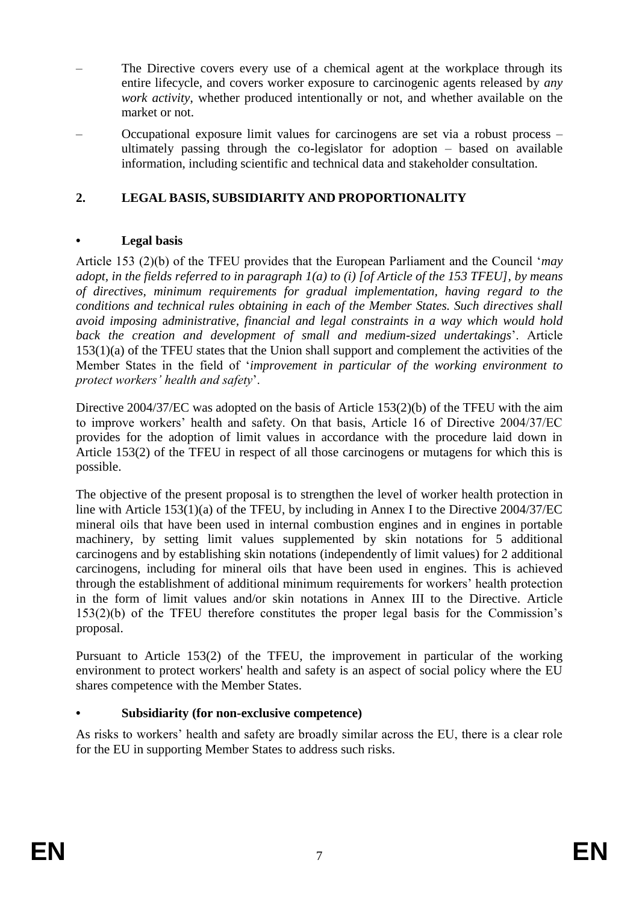- The Directive covers every use of a chemical agent at the workplace through its entire lifecycle, and covers worker exposure to carcinogenic agents released by *any work activity*, whether produced intentionally or not, and whether available on the market or not.
- Occupational exposure limit values for carcinogens are set via a robust process ultimately passing through the co-legislator for adoption – based on available information, including scientific and technical data and stakeholder consultation.

# **2. LEGAL BASIS, SUBSIDIARITY AND PROPORTIONALITY**

#### **• Legal basis**

Article 153 (2)(b) of the TFEU provides that the European Parliament and the Council '*may adopt, in the fields referred to in paragraph 1(a) to (i) [of Article of the 153 TFEU], by means of directives, minimum requirements for gradual implementation, having regard to the conditions and technical rules obtaining in each of the Member States. Such directives shall avoid imposing* a*dministrative, financial and legal constraints in a way which would hold back the creation and development of small and medium-sized undertakings*'. Article 153(1)(a) of the TFEU states that the Union shall support and complement the activities of the Member States in the field of '*improvement in particular of the working environment to protect workers' health and safety*'.

Directive 2004/37/EC was adopted on the basis of Article 153(2)(b) of the TFEU with the aim to improve workers' health and safety. On that basis, Article 16 of Directive 2004/37/EC provides for the adoption of limit values in accordance with the procedure laid down in Article 153(2) of the TFEU in respect of all those carcinogens or mutagens for which this is possible.

The objective of the present proposal is to strengthen the level of worker health protection in line with Article 153(1)(a) of the TFEU, by including in Annex I to the Directive 2004/37/EC mineral oils that have been used in internal combustion engines and in engines in portable machinery, by setting limit values supplemented by skin notations for 5 additional carcinogens and by establishing skin notations (independently of limit values) for 2 additional carcinogens, including for mineral oils that have been used in engines. This is achieved through the establishment of additional minimum requirements for workers' health protection in the form of limit values and/or skin notations in Annex III to the Directive. Article 153(2)(b) of the TFEU therefore constitutes the proper legal basis for the Commission's proposal.

Pursuant to Article 153(2) of the TFEU, the improvement in particular of the working environment to protect workers' health and safety is an aspect of social policy where the EU shares competence with the Member States.

## **• Subsidiarity (for non-exclusive competence)**

As risks to workers' health and safety are broadly similar across the EU, there is a clear role for the EU in supporting Member States to address such risks.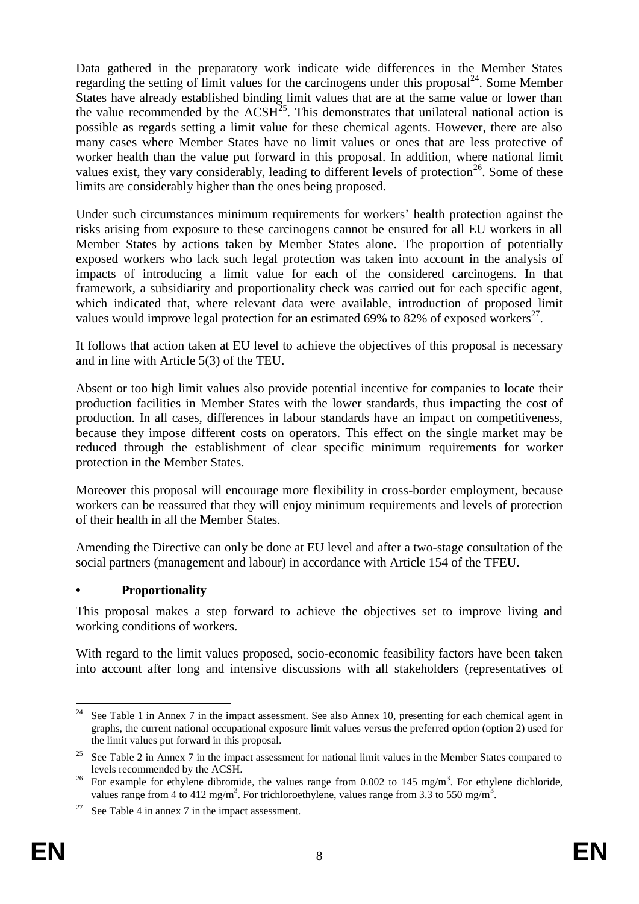Data gathered in the preparatory work indicate wide differences in the Member States regarding the setting of limit values for the carcinogens under this proposal $^{24}$ . Some Member States have already established binding limit values that are at the same value or lower than the value recommended by the  $ACSH^{25}$ . This demonstrates that unilateral national action is possible as regards setting a limit value for these chemical agents. However, there are also many cases where Member States have no limit values or ones that are less protective of worker health than the value put forward in this proposal. In addition, where national limit values exist, they vary considerably, leading to different levels of protection<sup>26</sup>. Some of these limits are considerably higher than the ones being proposed.

Under such circumstances minimum requirements for workers' health protection against the risks arising from exposure to these carcinogens cannot be ensured for all EU workers in all Member States by actions taken by Member States alone. The proportion of potentially exposed workers who lack such legal protection was taken into account in the analysis of impacts of introducing a limit value for each of the considered carcinogens. In that framework, a subsidiarity and proportionality check was carried out for each specific agent, which indicated that, where relevant data were available, introduction of proposed limit values would improve legal protection for an estimated 69% to 82% of exposed workers $^{27}$ .

It follows that action taken at EU level to achieve the objectives of this proposal is necessary and in line with Article 5(3) of the TEU.

Absent or too high limit values also provide potential incentive for companies to locate their production facilities in Member States with the lower standards, thus impacting the cost of production. In all cases, differences in labour standards have an impact on competitiveness, because they impose different costs on operators. This effect on the single market may be reduced through the establishment of clear specific minimum requirements for worker protection in the Member States.

Moreover this proposal will encourage more flexibility in cross-border employment, because workers can be reassured that they will enjoy minimum requirements and levels of protection of their health in all the Member States.

Amending the Directive can only be done at EU level and after a two-stage consultation of the social partners (management and labour) in accordance with Article 154 of the TFEU.

## **• Proportionality**

This proposal makes a step forward to achieve the objectives set to improve living and working conditions of workers.

With regard to the limit values proposed, socio-economic feasibility factors have been taken into account after long and intensive discussions with all stakeholders (representatives of

 $24$ See Table 1 in Annex 7 in the impact assessment. See also Annex 10, presenting for each chemical agent in graphs, the current national occupational exposure limit values versus the preferred option (option 2) used for the limit values put forward in this proposal.

<sup>&</sup>lt;sup>25</sup> See Table 2 in Annex 7 in the impact assessment for national limit values in the Member States compared to levels recommended by the ACSH.

<sup>&</sup>lt;sup>26</sup> For example for ethylene dibromide, the values range from 0.002 to 145 mg/m<sup>3</sup>. For ethylene dichloride, values range from 4 to 412 mg/m<sup>3</sup>. For trichloroethylene, values range from 3.3 to 550 mg/m<sup>3</sup>.

<sup>&</sup>lt;sup>27</sup> See Table 4 in annex 7 in the impact assessment.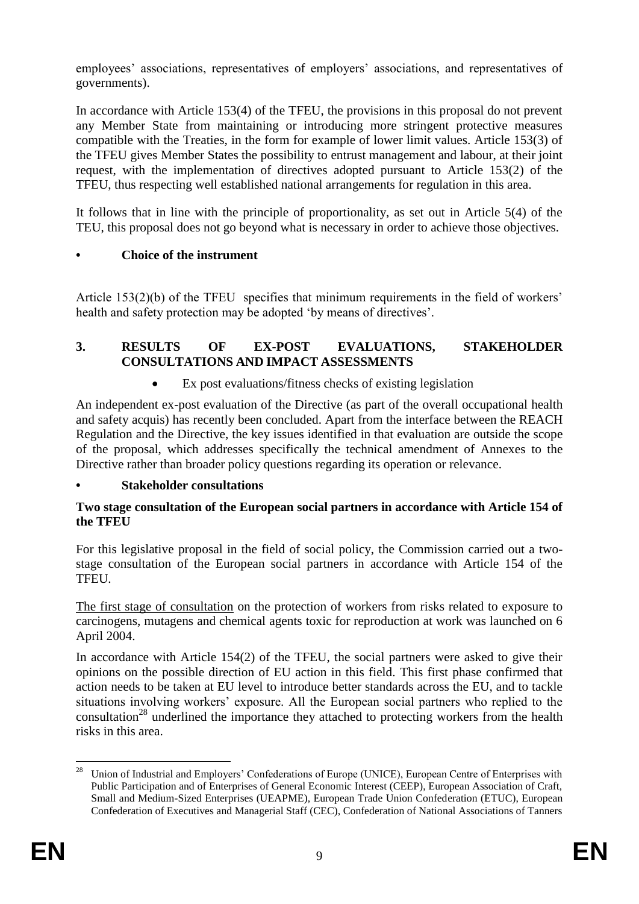employees' associations, representatives of employers' associations, and representatives of governments).

In accordance with Article 153(4) of the TFEU, the provisions in this proposal do not prevent any Member State from maintaining or introducing more stringent protective measures compatible with the Treaties, in the form for example of lower limit values. Article 153(3) of the TFEU gives Member States the possibility to entrust management and labour, at their joint request, with the implementation of directives adopted pursuant to Article 153(2) of the TFEU, thus respecting well established national arrangements for regulation in this area.

It follows that in line with the principle of proportionality, as set out in Article 5(4) of the TEU, this proposal does not go beyond what is necessary in order to achieve those objectives.

# **• Choice of the instrument**

Article 153(2)(b) of the TFEU specifies that minimum requirements in the field of workers' health and safety protection may be adopted 'by means of directives'.

# **3. RESULTS OF EX-POST EVALUATIONS, STAKEHOLDER CONSULTATIONS AND IMPACT ASSESSMENTS**

Ex post evaluations/fitness checks of existing legislation

An independent ex-post evaluation of the Directive (as part of the overall occupational health and safety acquis) has recently been concluded. Apart from the interface between the REACH Regulation and the Directive, the key issues identified in that evaluation are outside the scope of the proposal, which addresses specifically the technical amendment of Annexes to the Directive rather than broader policy questions regarding its operation or relevance.

## **• Stakeholder consultations**

#### **Two stage consultation of the European social partners in accordance with Article 154 of the TFEU**

For this legislative proposal in the field of social policy, the Commission carried out a twostage consultation of the European social partners in accordance with Article 154 of the TFEU.

The first stage of consultation on the protection of workers from risks related to exposure to carcinogens, mutagens and chemical agents toxic for reproduction at work was launched on 6 April 2004.

In accordance with Article 154(2) of the TFEU, the social partners were asked to give their opinions on the possible direction of EU action in this field. This first phase confirmed that action needs to be taken at EU level to introduce better standards across the EU, and to tackle situations involving workers' exposure. All the European social partners who replied to the consultation<sup>28</sup> underlined the importance they attached to protecting workers from the health risks in this area.

 $28\,$ <sup>28</sup> Union of Industrial and Employers' Confederations of Europe (UNICE), European Centre of Enterprises with Public Participation and of Enterprises of General Economic Interest (CEEP), European Association of Craft, Small and Medium-Sized Enterprises (UEAPME), European Trade Union Confederation (ETUC), European Confederation of Executives and Managerial Staff (CEC), Confederation of National Associations of Tanners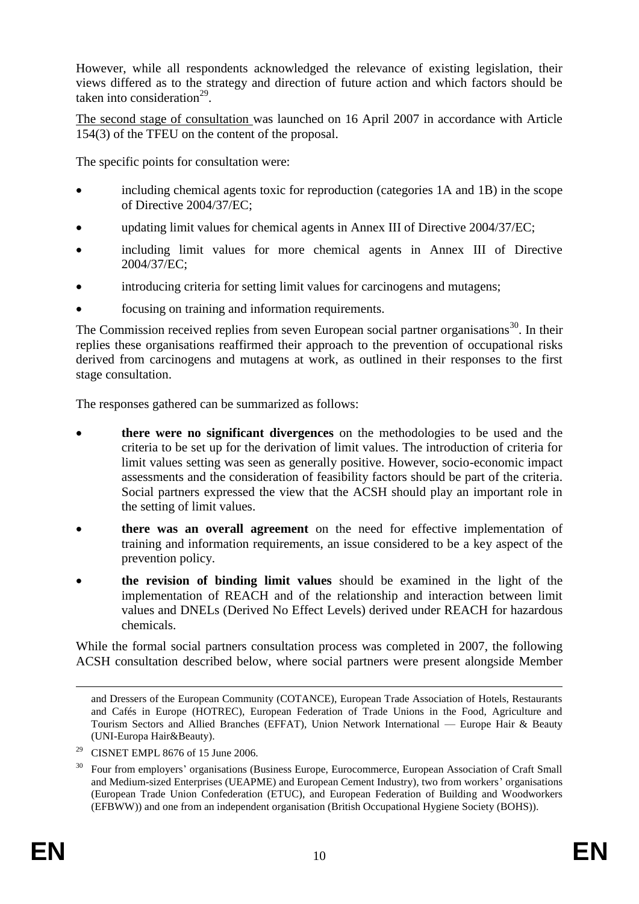However, while all respondents acknowledged the relevance of existing legislation, their views differed as to the strategy and direction of future action and which factors should be taken into consideration $^{29}$ .

The second stage of consultation was launched on 16 April 2007 in accordance with Article 154(3) of the TFEU on the content of the proposal.

The specific points for consultation were:

- including chemical agents toxic for reproduction (categories 1A and 1B) in the scope of Directive 2004/37/EC;
- updating limit values for chemical agents in Annex III of Directive 2004/37/EC;
- including limit values for more chemical agents in Annex III of Directive 2004/37/EC;
- introducing criteria for setting limit values for carcinogens and mutagens;
- focusing on training and information requirements.

The Commission received replies from seven European social partner organisations<sup>30</sup>. In their replies these organisations reaffirmed their approach to the prevention of occupational risks derived from carcinogens and mutagens at work, as outlined in their responses to the first stage consultation.

The responses gathered can be summarized as follows:

- **there were no significant divergences** on the methodologies to be used and the criteria to be set up for the derivation of limit values. The introduction of criteria for limit values setting was seen as generally positive. However, socio-economic impact assessments and the consideration of feasibility factors should be part of the criteria. Social partners expressed the view that the ACSH should play an important role in the setting of limit values.
- **there was an overall agreement** on the need for effective implementation of training and information requirements, an issue considered to be a key aspect of the prevention policy.
- **the revision of binding limit values** should be examined in the light of the implementation of REACH and of the relationship and interaction between limit values and DNELs (Derived No Effect Levels) derived under REACH for hazardous chemicals.

While the formal social partners consultation process was completed in 2007, the following ACSH consultation described below, where social partners were present alongside Member

 $\overline{a}$ 

and Dressers of the European Community (COTANCE), European Trade Association of Hotels, Restaurants and Cafés in Europe (HOTREC), European Federation of Trade Unions in the Food, Agriculture and Tourism Sectors and Allied Branches (EFFAT), Union Network International — Europe Hair & Beauty (UNI-Europa Hair&Beauty).

<sup>&</sup>lt;sup>29</sup> CISNET EMPL 8676 of 15 June 2006.

<sup>&</sup>lt;sup>30</sup> Four from employers' organisations (Business Europe, Eurocommerce, European Association of Craft Small and Medium-sized Enterprises (UEAPME) and European Cement Industry), two from workers' organisations (European Trade Union Confederation (ETUC), and European Federation of Building and Woodworkers (EFBWW)) and one from an independent organisation (British Occupational Hygiene Society (BOHS)).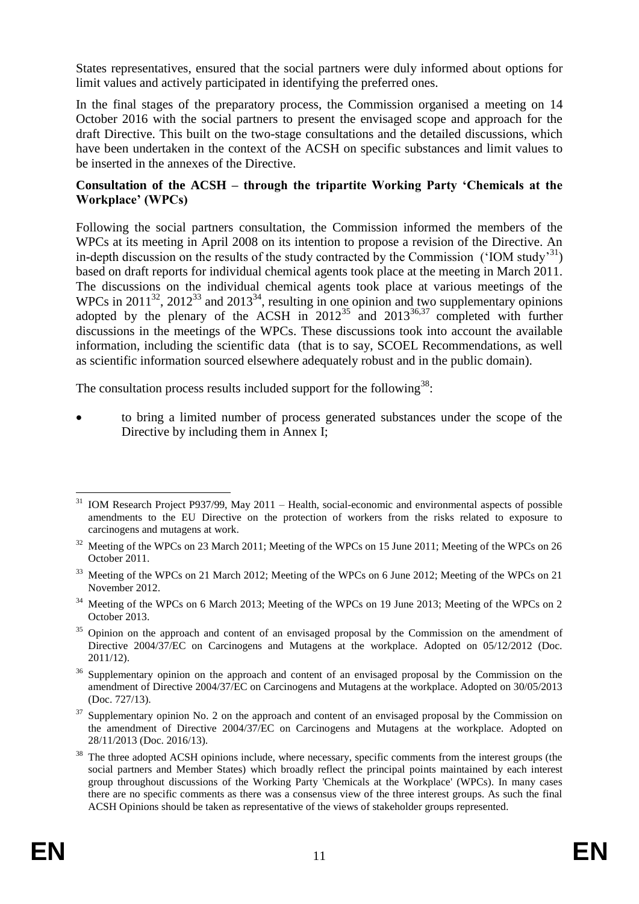States representatives, ensured that the social partners were duly informed about options for limit values and actively participated in identifying the preferred ones.

In the final stages of the preparatory process, the Commission organised a meeting on 14 October 2016 with the social partners to present the envisaged scope and approach for the draft Directive. This built on the two-stage consultations and the detailed discussions, which have been undertaken in the context of the ACSH on specific substances and limit values to be inserted in the annexes of the Directive.

#### **Consultation of the ACSH – through the tripartite Working Party 'Chemicals at the Workplace' (WPCs)**

Following the social partners consultation, the Commission informed the members of the WPCs at its meeting in April 2008 on its intention to propose a revision of the Directive. An in-depth discussion on the results of the study contracted by the Commission ('IOM study'<sup>31</sup>) based on draft reports for individual chemical agents took place at the meeting in March 2011. The discussions on the individual chemical agents took place at various meetings of the WPCs in 2011<sup>32</sup>, 2012<sup>33</sup> and 2013<sup>34</sup>, resulting in one opinion and two supplementary opinions adopted by the plenary of the ACSH in  $2012^{35}$  and  $2013^{36,37}$  completed with further discussions in the meetings of the WPCs. These discussions took into account the available information, including the scientific data (that is to say, SCOEL Recommendations, as well as scientific information sourced elsewhere adequately robust and in the public domain).

The consultation process results included support for the following<sup>38</sup>:

 to bring a limited number of process generated substances under the scope of the Directive by including them in Annex I;

<sup>&</sup>lt;u>.</u> <sup>31</sup> IOM Research Project P937/99, May 2011 – Health, social-economic and environmental aspects of possible amendments to the EU Directive on the protection of workers from the risks related to exposure to carcinogens and mutagens at work.

<sup>&</sup>lt;sup>32</sup> Meeting of the WPCs on 23 March 2011; Meeting of the WPCs on 15 June 2011; Meeting of the WPCs on 26 October 2011.

<sup>&</sup>lt;sup>33</sup> Meeting of the WPCs on 21 March 2012; Meeting of the WPCs on 6 June 2012; Meeting of the WPCs on 21 November 2012.

<sup>&</sup>lt;sup>34</sup> Meeting of the WPCs on 6 March 2013; Meeting of the WPCs on 19 June 2013; Meeting of the WPCs on 2 October 2013.

<sup>&</sup>lt;sup>35</sup> Opinion on the approach and content of an envisaged proposal by the Commission on the amendment of Directive 2004/37/EC on Carcinogens and Mutagens at the workplace. Adopted on 05/12/2012 (Doc. 2011/12).

<sup>&</sup>lt;sup>36</sup> Supplementary opinion on the approach and content of an envisaged proposal by the Commission on the amendment of Directive 2004/37/EC on Carcinogens and Mutagens at the workplace. Adopted on 30/05/2013 (Doc. 727/13).

<sup>&</sup>lt;sup>37</sup> Supplementary opinion No. 2 on the approach and content of an envisaged proposal by the Commission on the amendment of Directive 2004/37/EC on Carcinogens and Mutagens at the workplace. Adopted on 28/11/2013 (Doc. 2016/13).

<sup>&</sup>lt;sup>38</sup> The three adopted ACSH opinions include, where necessary, specific comments from the interest groups (the social partners and Member States) which broadly reflect the principal points maintained by each interest group throughout discussions of the Working Party 'Chemicals at the Workplace' (WPCs). In many cases there are no specific comments as there was a consensus view of the three interest groups. As such the final ACSH Opinions should be taken as representative of the views of stakeholder groups represented.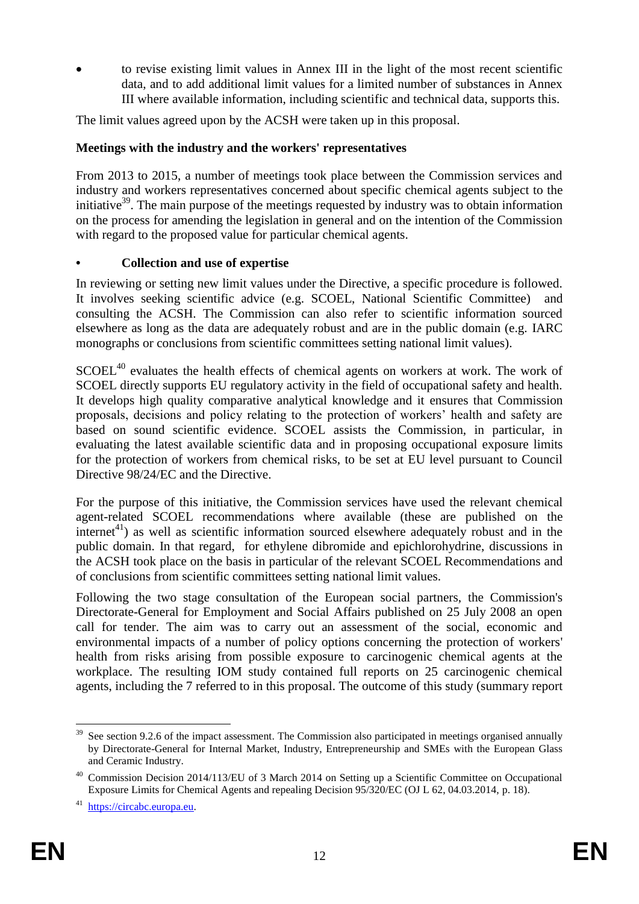to revise existing limit values in Annex III in the light of the most recent scientific data, and to add additional limit values for a limited number of substances in Annex III where available information, including scientific and technical data, supports this.

The limit values agreed upon by the ACSH were taken up in this proposal.

#### **Meetings with the industry and the workers' representatives**

From 2013 to 2015, a number of meetings took place between the Commission services and industry and workers representatives concerned about specific chemical agents subject to the initiative<sup>39</sup>. The main purpose of the meetings requested by industry was to obtain information on the process for amending the legislation in general and on the intention of the Commission with regard to the proposed value for particular chemical agents.

#### **• Collection and use of expertise**

In reviewing or setting new limit values under the Directive, a specific procedure is followed. It involves seeking scientific advice (e.g. SCOEL, National Scientific Committee) and consulting the ACSH. The Commission can also refer to scientific information sourced elsewhere as long as the data are adequately robust and are in the public domain (e.g. IARC monographs or conclusions from scientific committees setting national limit values).

SCOEL<sup>40</sup> evaluates the health effects of chemical agents on workers at work. The work of SCOEL directly supports EU regulatory activity in the field of occupational safety and health. It develops high quality comparative analytical knowledge and it ensures that Commission proposals, decisions and policy relating to the protection of workers' health and safety are based on sound scientific evidence. SCOEL assists the Commission, in particular, in evaluating the latest available scientific data and in proposing occupational exposure limits for the protection of workers from chemical risks, to be set at EU level pursuant to Council Directive 98/24/EC and the Directive.

For the purpose of this initiative, the Commission services have used the relevant chemical agent-related SCOEL recommendations where available (these are published on the internet<sup>41</sup>) as well as scientific information sourced elsewhere adequately robust and in the public domain. In that regard, for ethylene dibromide and epichlorohydrine, discussions in the ACSH took place on the basis in particular of the relevant SCOEL Recommendations and of conclusions from scientific committees setting national limit values.

Following the two stage consultation of the European social partners, the Commission's Directorate-General for Employment and Social Affairs published on 25 July 2008 an open call for tender. The aim was to carry out an assessment of the social, economic and environmental impacts of a number of policy options concerning the protection of workers' health from risks arising from possible exposure to carcinogenic chemical agents at the workplace. The resulting IOM study contained full reports on 25 carcinogenic chemical agents, including the 7 referred to in this proposal. The outcome of this study (summary report

<sup>1</sup>  $39$  See section 9.2.6 of the impact assessment. The Commission also participated in meetings organised annually by Directorate-General for Internal Market, Industry, Entrepreneurship and SMEs with the European Glass and Ceramic Industry.

<sup>40</sup> Commission Decision 2014/113/EU of 3 March 2014 on Setting up a Scientific Committee on Occupational Exposure Limits for Chemical Agents and repealing Decision 95/320/EC (OJ L 62, 04.03.2014, p. 18).

<sup>41</sup> [https://circabc.europa.eu.](https://circabc.europa.eu/)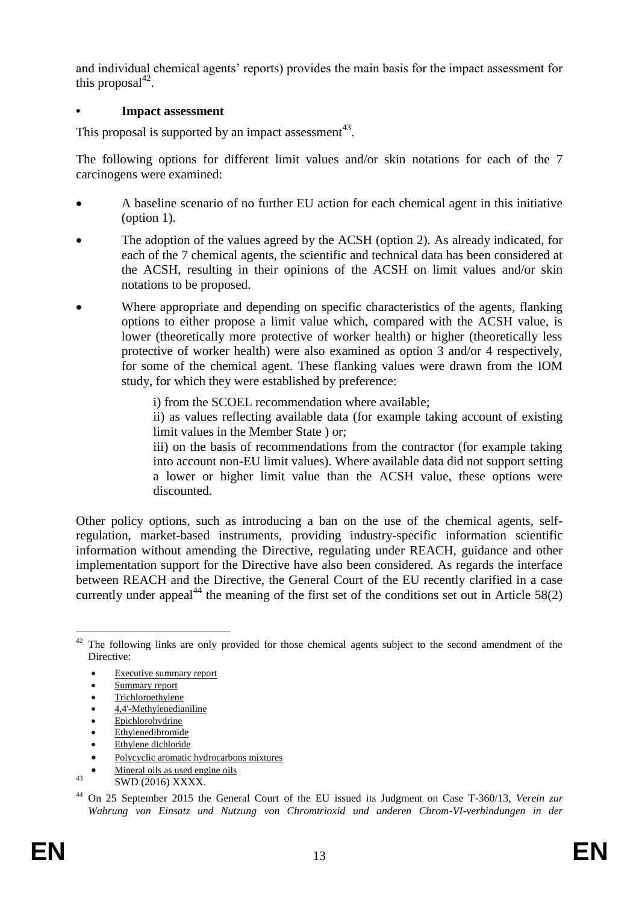and individual chemical agents' reports) provides the main basis for the impact assessment for this proposal $^{42}$ .

#### **• Impact assessment**

This proposal is supported by an impact assessment<sup>43</sup>.

The following options for different limit values and/or skin notations for each of the 7 carcinogens were examined:

- A baseline scenario of no further EU action for each chemical agent in this initiative (option 1).
- The adoption of the values agreed by the ACSH (option 2). As already indicated, for each of the 7 chemical agents, the scientific and technical data has been considered at the ACSH, resulting in their opinions of the ACSH on limit values and/or skin notations to be proposed.
- Where appropriate and depending on specific characteristics of the agents, flanking options to either propose a limit value which, compared with the ACSH value, is lower (theoretically more protective of worker health) or higher (theoretically less protective of worker health) were also examined as option 3 and/or 4 respectively, for some of the chemical agent. These flanking values were drawn from the IOM study, for which they were established by preference:
	- i) from the SCOEL recommendation where available;

ii) as values reflecting available data (for example taking account of existing limit values in the Member State ) or;

iii) on the basis of recommendations from the contractor (for example taking into account non-EU limit values). Where available data did not support setting a lower or higher limit value than the ACSH value, these options were discounted.

Other policy options, such as introducing a ban on the use of the chemical agents, selfregulation, market-based instruments, providing industry-specific information scientific information without amending the Directive, regulating under REACH, guidance and other implementation support for the Directive have also been considered. As regards the interface between REACH and the Directive, the General Court of the EU recently clarified in a case currently under appeal<sup>44</sup> the meaning of the first set of the conditions set out in Article 58(2)

- [Epichlorohydrine](http://ec.europa.eu/social/BlobServlet?docId=10177&langId=en)
- **[Ethylenedibromide](http://ec.europa.eu/social/BlobServlet?docId=10171&langId=en)**
- [Ethylene dichloride](http://ec.europa.eu/social/BlobServlet?docId=10170&langId=en)
- [Polycyclic aromatic hydrocarbons mixtures](http://ec.europa.eu/social/BlobServlet?docId=10182&langId=en)
- [Mineral oils as used engine oils](http://ec.europa.eu/social/BlobServlet?docId=10174&langId=en)

<sup>1</sup>  $42$  The following links are only provided for those chemical agents subject to the second amendment of the Directive:

[Executive summary report](http://www.google.be/url?sa=t&rct=j&q=&esrc=s&source=web&cd=7&cad=rja&uact=8&ved=0CDEQFjAGahUKEwir06S6zZfJAhWIPxQKHWlVDcM&url=http%3A%2F%2Fec.europa.eu%2Fsocial%2FBlobServlet%3FdocId%3D10150%26langId%3Den&usg=AFQjCNFAXE-e2VbB0l2Q45SFCy153SkZUw)

[Summary report](http://ec.europa.eu/social/BlobServlet?docId=10149&)

**[Trichloroethylene](http://ec.europa.eu/social/BlobServlet?docId=10156&langId=en)** 

[4,4'-Methylenedianiline](http://ec.europa.eu/social/BlobServlet?docId=10162&langId=en)

<sup>43</sup> **SWD** (2016) XXXX.

<sup>44</sup> On 25 September 2015 the General Court of the EU issued its Judgment on Case T-360/13, *Verein zur Wahrung von Einsatz und Nutzung von Chromtrioxid und anderen Chrom-VI-verbindungen in der*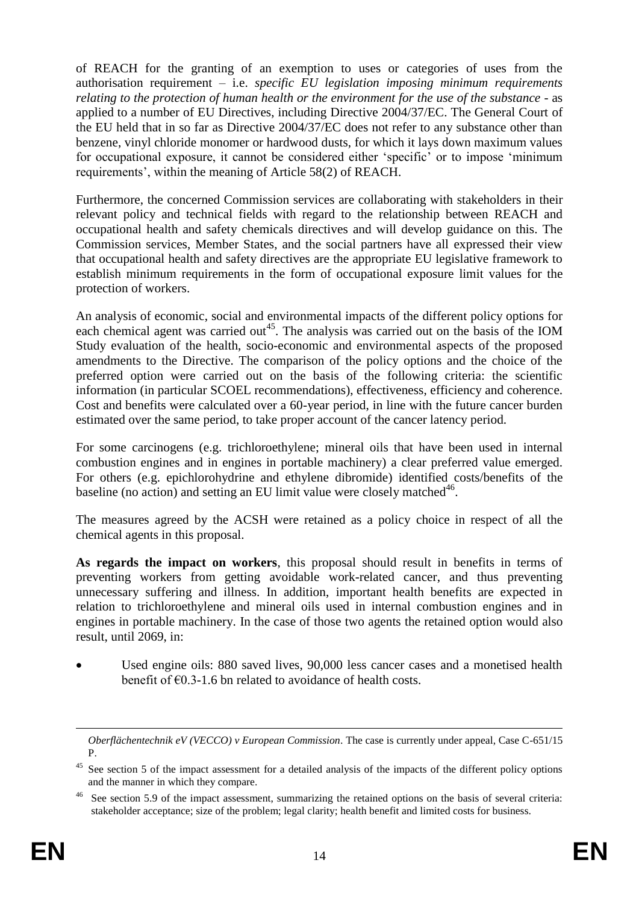of REACH for the granting of an exemption to uses or categories of uses from the authorisation requirement – i.e. *specific EU legislation imposing minimum requirements relating to the protection of human health or the environment for the use of the substance* - as applied to a number of EU Directives, including Directive 2004/37/EC. The General Court of the EU held that in so far as Directive 2004/37/EC does not refer to any substance other than benzene, vinyl chloride monomer or hardwood dusts, for which it lays down maximum values for occupational exposure, it cannot be considered either 'specific' or to impose 'minimum requirements', within the meaning of Article 58(2) of REACH.

Furthermore, the concerned Commission services are collaborating with stakeholders in their relevant policy and technical fields with regard to the relationship between REACH and occupational health and safety chemicals directives and will develop guidance on this. The Commission services, Member States, and the social partners have all expressed their view that occupational health and safety directives are the appropriate EU legislative framework to establish minimum requirements in the form of occupational exposure limit values for the protection of workers.

An analysis of economic, social and environmental impacts of the different policy options for each chemical agent was carried out<sup>45</sup>. The analysis was carried out on the basis of the IOM Study evaluation of the health, socio-economic and environmental aspects of the proposed amendments to the Directive. The comparison of the policy options and the choice of the preferred option were carried out on the basis of the following criteria: the scientific information (in particular SCOEL recommendations), effectiveness, efficiency and coherence. Cost and benefits were calculated over a 60-year period, in line with the future cancer burden estimated over the same period, to take proper account of the cancer latency period.

For some carcinogens (e.g. trichloroethylene; mineral oils that have been used in internal combustion engines and in engines in portable machinery) a clear preferred value emerged. For others (e.g. epichlorohydrine and ethylene dibromide) identified costs/benefits of the baseline (no action) and setting an EU limit value were closely matched<sup>46</sup>.

The measures agreed by the ACSH were retained as a policy choice in respect of all the chemical agents in this proposal.

**As regards the impact on workers**, this proposal should result in benefits in terms of preventing workers from getting avoidable work-related cancer, and thus preventing unnecessary suffering and illness. In addition, important health benefits are expected in relation to trichloroethylene and mineral oils used in internal combustion engines and in engines in portable machinery. In the case of those two agents the retained option would also result, until 2069, in:

 Used engine oils: 880 saved lives, 90,000 less cancer cases and a monetised health benefit of  $\epsilon$ 0.3-1.6 bn related to avoidance of health costs.

 $\overline{a}$ 

*Oberflächentechnik eV (VECCO) v European Commission*. The case is currently under appeal, Case C-651/15 P.

<sup>&</sup>lt;sup>45</sup> See section 5 of the impact assessment for a detailed analysis of the impacts of the different policy options and the manner in which they compare.

See section 5.9 of the impact assessment, summarizing the retained options on the basis of several criteria: stakeholder acceptance; size of the problem; legal clarity; health benefit and limited costs for business.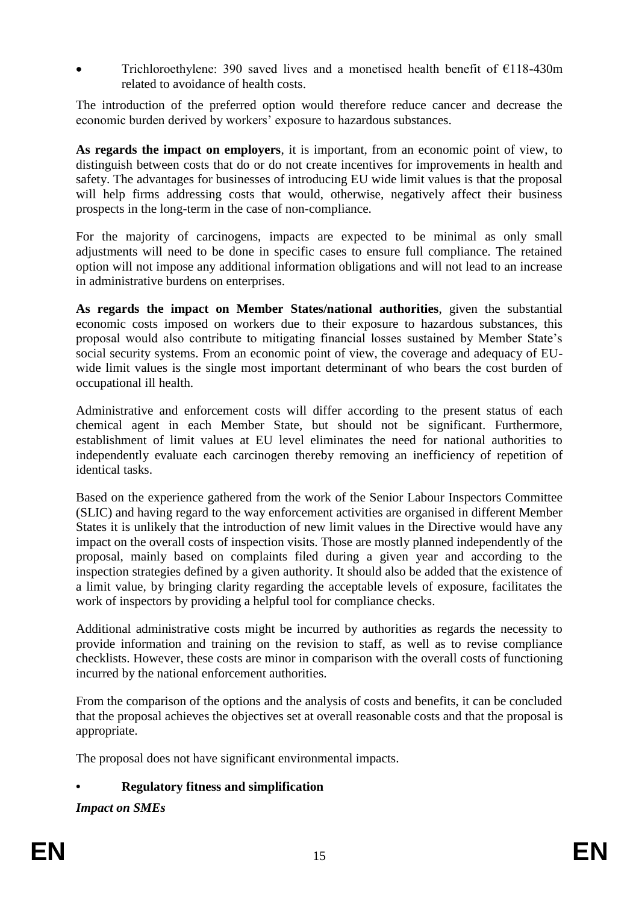Trichloroethylene: 390 saved lives and a monetised health benefit of  $\epsilon$ 118-430m related to avoidance of health costs.

The introduction of the preferred option would therefore reduce cancer and decrease the economic burden derived by workers' exposure to hazardous substances.

**As regards the impact on employers**, it is important, from an economic point of view, to distinguish between costs that do or do not create incentives for improvements in health and safety. The advantages for businesses of introducing EU wide limit values is that the proposal will help firms addressing costs that would, otherwise, negatively affect their business prospects in the long-term in the case of non-compliance.

For the majority of carcinogens, impacts are expected to be minimal as only small adjustments will need to be done in specific cases to ensure full compliance. The retained option will not impose any additional information obligations and will not lead to an increase in administrative burdens on enterprises.

**As regards the impact on Member States/national authorities**, given the substantial economic costs imposed on workers due to their exposure to hazardous substances, this proposal would also contribute to mitigating financial losses sustained by Member State's social security systems. From an economic point of view, the coverage and adequacy of EUwide limit values is the single most important determinant of who bears the cost burden of occupational ill health.

Administrative and enforcement costs will differ according to the present status of each chemical agent in each Member State, but should not be significant. Furthermore, establishment of limit values at EU level eliminates the need for national authorities to independently evaluate each carcinogen thereby removing an inefficiency of repetition of identical tasks.

Based on the experience gathered from the work of the Senior Labour Inspectors Committee (SLIC) and having regard to the way enforcement activities are organised in different Member States it is unlikely that the introduction of new limit values in the Directive would have any impact on the overall costs of inspection visits. Those are mostly planned independently of the proposal, mainly based on complaints filed during a given year and according to the inspection strategies defined by a given authority. It should also be added that the existence of a limit value, by bringing clarity regarding the acceptable levels of exposure, facilitates the work of inspectors by providing a helpful tool for compliance checks.

Additional administrative costs might be incurred by authorities as regards the necessity to provide information and training on the revision to staff, as well as to revise compliance checklists. However, these costs are minor in comparison with the overall costs of functioning incurred by the national enforcement authorities.

From the comparison of the options and the analysis of costs and benefits, it can be concluded that the proposal achieves the objectives set at overall reasonable costs and that the proposal is appropriate.

The proposal does not have significant environmental impacts.

## **• Regulatory fitness and simplification**

*Impact on SMEs*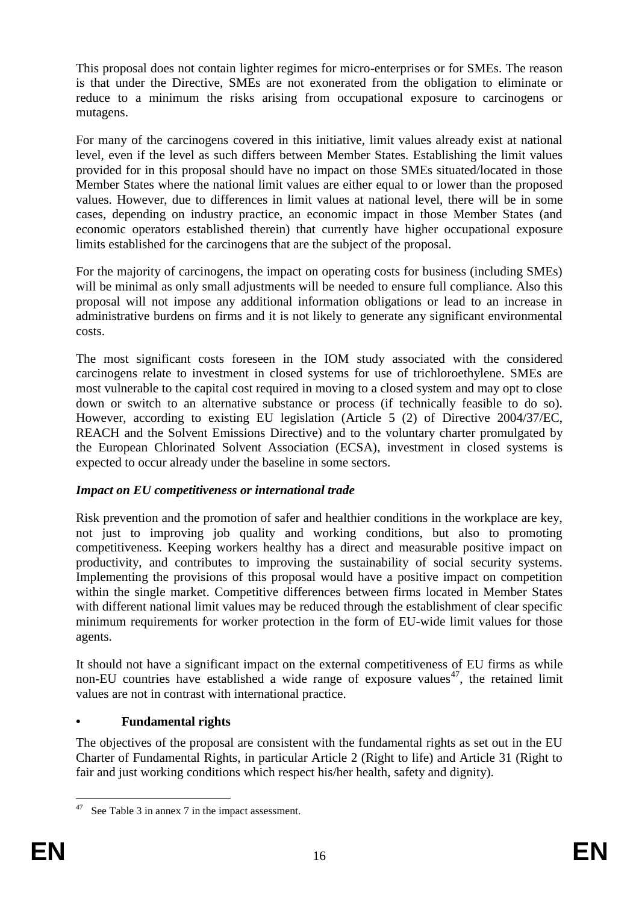This proposal does not contain lighter regimes for micro-enterprises or for SMEs. The reason is that under the Directive, SMEs are not exonerated from the obligation to eliminate or reduce to a minimum the risks arising from occupational exposure to carcinogens or mutagens.

For many of the carcinogens covered in this initiative, limit values already exist at national level, even if the level as such differs between Member States. Establishing the limit values provided for in this proposal should have no impact on those SMEs situated/located in those Member States where the national limit values are either equal to or lower than the proposed values. However, due to differences in limit values at national level, there will be in some cases, depending on industry practice, an economic impact in those Member States (and economic operators established therein) that currently have higher occupational exposure limits established for the carcinogens that are the subject of the proposal.

For the majority of carcinogens, the impact on operating costs for business (including SMEs) will be minimal as only small adjustments will be needed to ensure full compliance. Also this proposal will not impose any additional information obligations or lead to an increase in administrative burdens on firms and it is not likely to generate any significant environmental costs.

The most significant costs foreseen in the IOM study associated with the considered carcinogens relate to investment in closed systems for use of trichloroethylene. SMEs are most vulnerable to the capital cost required in moving to a closed system and may opt to close down or switch to an alternative substance or process (if technically feasible to do so). However, according to existing EU legislation (Article 5 (2) of Directive 2004/37/EC, REACH and the Solvent Emissions Directive) and to the voluntary charter promulgated by the European Chlorinated Solvent Association (ECSA), investment in closed systems is expected to occur already under the baseline in some sectors.

# *Impact on EU competitiveness or international trade*

Risk prevention and the promotion of safer and healthier conditions in the workplace are key, not just to improving job quality and working conditions, but also to promoting competitiveness. Keeping workers healthy has a direct and measurable positive impact on productivity, and contributes to improving the sustainability of social security systems. Implementing the provisions of this proposal would have a positive impact on competition within the single market. Competitive differences between firms located in Member States with different national limit values may be reduced through the establishment of clear specific minimum requirements for worker protection in the form of EU-wide limit values for those agents.

It should not have a significant impact on the external competitiveness of EU firms as while non-EU countries have established a wide range of exposure values<sup>47</sup>, the retained limit values are not in contrast with international practice.

## **• Fundamental rights**

The objectives of the proposal are consistent with the fundamental rights as set out in the EU Charter of Fundamental Rights, in particular Article 2 (Right to life) and Article 31 (Right to fair and just working conditions which respect his/her health, safety and dignity).

1

 $47$  See Table 3 in annex 7 in the impact assessment.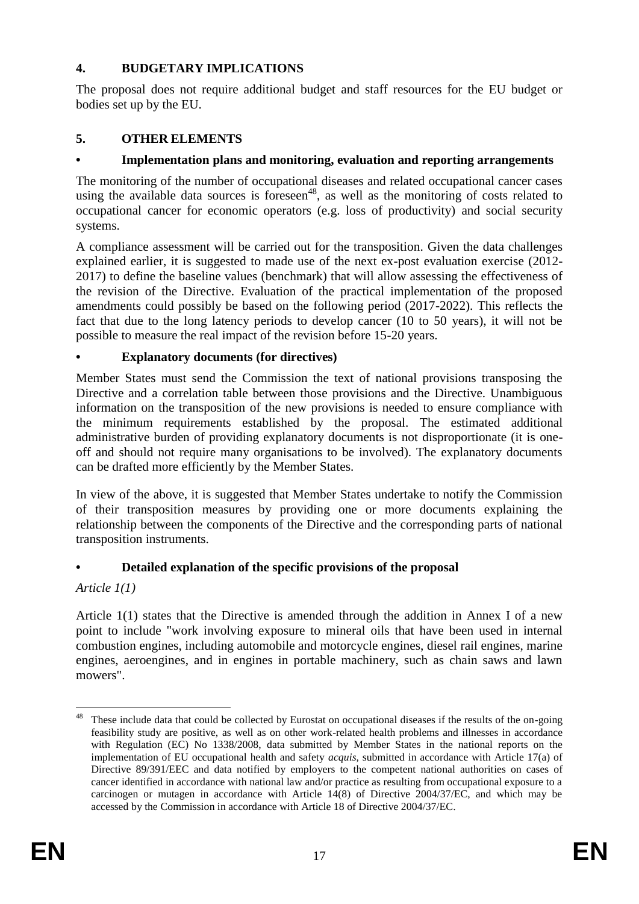# **4. BUDGETARY IMPLICATIONS**

The proposal does not require additional budget and staff resources for the EU budget or bodies set up by the EU.

# **5. OTHER ELEMENTS**

# **• Implementation plans and monitoring, evaluation and reporting arrangements**

The monitoring of the number of occupational diseases and related occupational cancer cases using the available data sources is foreseen $48$ , as well as the monitoring of costs related to occupational cancer for economic operators (e.g. loss of productivity) and social security systems.

A compliance assessment will be carried out for the transposition. Given the data challenges explained earlier, it is suggested to made use of the next ex-post evaluation exercise (2012- 2017) to define the baseline values (benchmark) that will allow assessing the effectiveness of the revision of the Directive. Evaluation of the practical implementation of the proposed amendments could possibly be based on the following period (2017-2022). This reflects the fact that due to the long latency periods to develop cancer (10 to 50 years), it will not be possible to measure the real impact of the revision before 15-20 years.

## **• Explanatory documents (for directives)**

Member States must send the Commission the text of national provisions transposing the Directive and a correlation table between those provisions and the Directive. Unambiguous information on the transposition of the new provisions is needed to ensure compliance with the minimum requirements established by the proposal. The estimated additional administrative burden of providing explanatory documents is not disproportionate (it is oneoff and should not require many organisations to be involved). The explanatory documents can be drafted more efficiently by the Member States.

In view of the above, it is suggested that Member States undertake to notify the Commission of their transposition measures by providing one or more documents explaining the relationship between the components of the Directive and the corresponding parts of national transposition instruments.

# **• Detailed explanation of the specific provisions of the proposal**

## *Article 1(1)*

Article 1(1) states that the Directive is amended through the addition in Annex I of a new point to include "work involving exposure to mineral oils that have been used in internal combustion engines, including automobile and motorcycle engines, diesel rail engines, marine engines, aeroengines, and in engines in portable machinery, such as chain saws and lawn mowers".

<sup>&</sup>lt;u>.</u>  $48$  These include data that could be collected by Eurostat on occupational diseases if the results of the on-going feasibility study are positive, as well as on other work-related health problems and illnesses in accordance with Regulation (EC) No 1338/2008, data submitted by Member States in the national reports on the implementation of EU occupational health and safety *acquis*, submitted in accordance with Article 17(a) of Directive 89/391/EEC and data notified by employers to the competent national authorities on cases of cancer identified in accordance with national law and/or practice as resulting from occupational exposure to a carcinogen or mutagen in accordance with Article 14(8) of Directive 2004/37/EC, and which may be accessed by the Commission in accordance with Article 18 of Directive 2004/37/EC.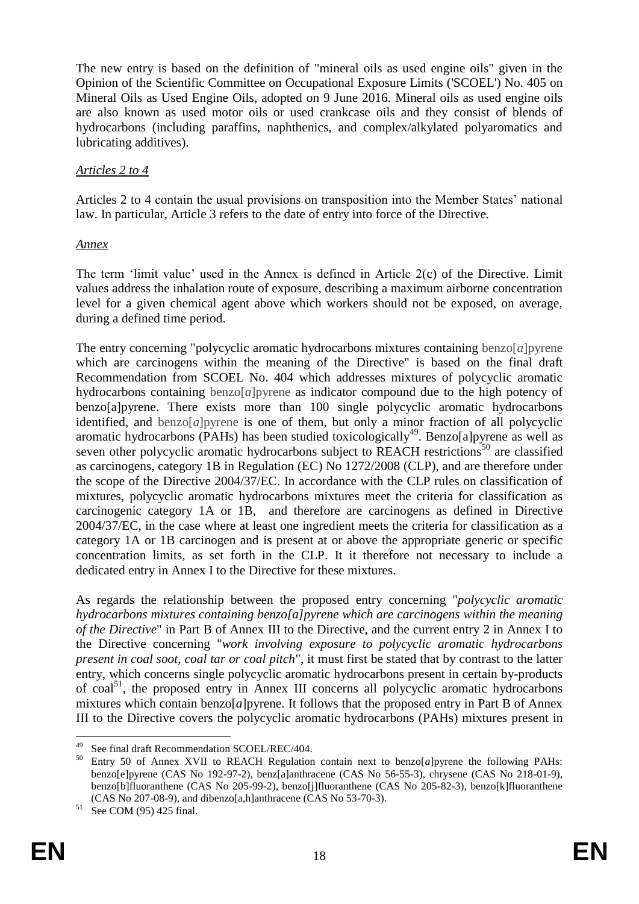The new entry is based on the definition of "mineral oils as used engine oils" given in the Opinion of the Scientific Committee on Occupational Exposure Limits ('SCOEL') No. 405 on Mineral Oils as Used Engine Oils, adopted on 9 June 2016. Mineral oils as used engine oils are also known as used motor oils or used crankcase oils and they consist of blends of hydrocarbons (including paraffins, naphthenics, and complex/alkylated polyaromatics and lubricating additives).

## *Articles 2 to 4*

Articles 2 to 4 contain the usual provisions on transposition into the Member States' national law. In particular, Article 3 refers to the date of entry into force of the Directive.

#### *Annex*

The term 'limit value' used in the Annex is defined in Article  $2(c)$  of the Directive. Limit values address the inhalation route of exposure, describing a maximum airborne concentration level for a given chemical agent above which workers should not be exposed, on average, during a defined time period.

The entry concerning "polycyclic aromatic hydrocarbons mixtures containing benzo[*a*]pyrene which are carcinogens within the meaning of the Directive" is based on the final draft Recommendation from SCOEL No. 404 which addresses mixtures of polycyclic aromatic hydrocarbons containing benzo[*a*]pyrene as indicator compound due to the high potency of benzo[a]pyrene. There exists more than 100 single polycyclic aromatic hydrocarbons identified, and benzo $[a]$ pyrene is one of them, but only a minor fraction of all polycyclic aromatic hydrocarbons (PAHs) has been studied toxicologically<sup>49</sup>. Benzo[a]pyrene as well as seven other polycyclic aromatic hydrocarbons subject to REACH restrictions<sup>50</sup> are classified as carcinogens, category 1B in Regulation (EC) No 1272/2008 (CLP), and are therefore under the scope of the Directive 2004/37/EC. In accordance with the CLP rules on classification of mixtures, polycyclic aromatic hydrocarbons mixtures meet the criteria for classification as carcinogenic category 1A or 1B, and therefore are carcinogens as defined in Directive 2004/37/EC, in the case where at least one ingredient meets the criteria for classification as a category 1A or 1B carcinogen and is present at or above the appropriate generic or specific concentration limits, as set forth in the CLP. It it therefore not necessary to include a dedicated entry in Annex I to the Directive for these mixtures.

As regards the relationship between the proposed entry concerning "*polycyclic aromatic hydrocarbons mixtures containing benzo[a]pyrene which are carcinogens within the meaning of the Directive*" in Part B of Annex III to the Directive, and the current entry 2 in Annex I to the Directive concerning "*work involving exposure to polycyclic aromatic hydrocarbons present in coal soot, coal tar or coal pitch*", it must first be stated that by contrast to the latter entry, which concerns single polycyclic aromatic hydrocarbons present in certain by-products of coal<sup>51</sup>, the proposed entry in Annex III concerns all polycyclic aromatic hydrocarbons mixtures which contain benzo $[a]$ pyrene. It follows that the proposed entry in Part B of Annex III to the Directive covers the polycyclic aromatic hydrocarbons (PAHs) mixtures present in

<sup>49</sup> <sup>49</sup> See final draft Recommendation SCOEL/REC/404.<br> $^{50}$  Entry 50 of Anney XVII to REACH Requision

<sup>50</sup> Entry 50 of Annex XVII to REACH Regulation contain next to benzo[*a*]pyrene the following PAHs: benzo[e]pyrene (CAS No 192-97-2), benz[a]anthracene (CAS No 56-55-3), chrysene (CAS No 218-01-9), benzo[b]fluoranthene (CAS No 205-99-2), benzo[j]fluoranthene (CAS No 205-82-3), benzo[k]fluoranthene (CAS No 207-08-9), and dibenzo[a,h]anthracene (CAS No 53-70-3).

See COM (95) 425 final.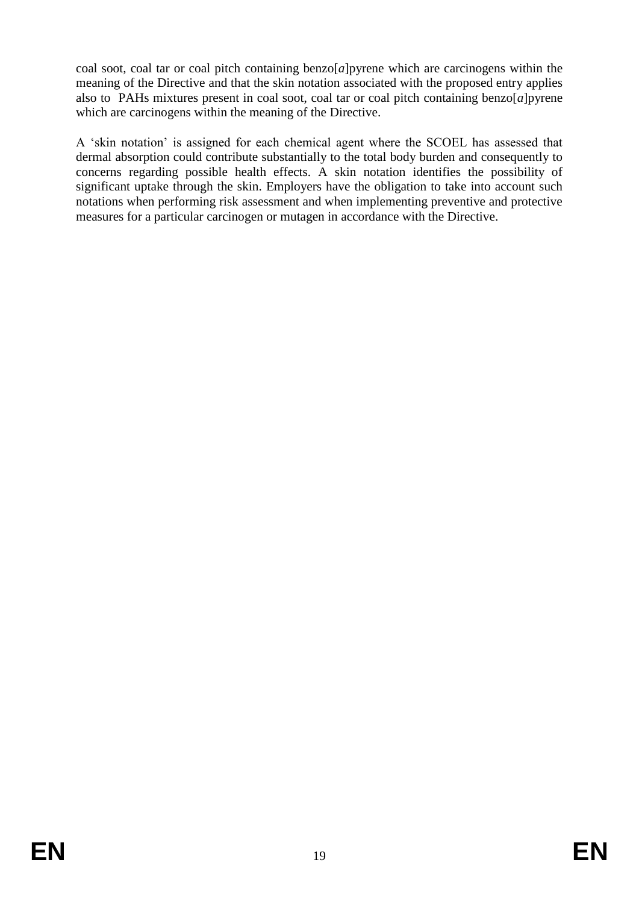coal soot, coal tar or coal pitch containing benzo[*a*]pyrene which are carcinogens within the meaning of the Directive and that the skin notation associated with the proposed entry applies also to PAHs mixtures present in coal soot, coal tar or coal pitch containing benzo[*a*]pyrene which are carcinogens within the meaning of the Directive.

A 'skin notation' is assigned for each chemical agent where the SCOEL has assessed that dermal absorption could contribute substantially to the total body burden and consequently to concerns regarding possible health effects. A skin notation identifies the possibility of significant uptake through the skin. Employers have the obligation to take into account such notations when performing risk assessment and when implementing preventive and protective measures for a particular carcinogen or mutagen in accordance with the Directive.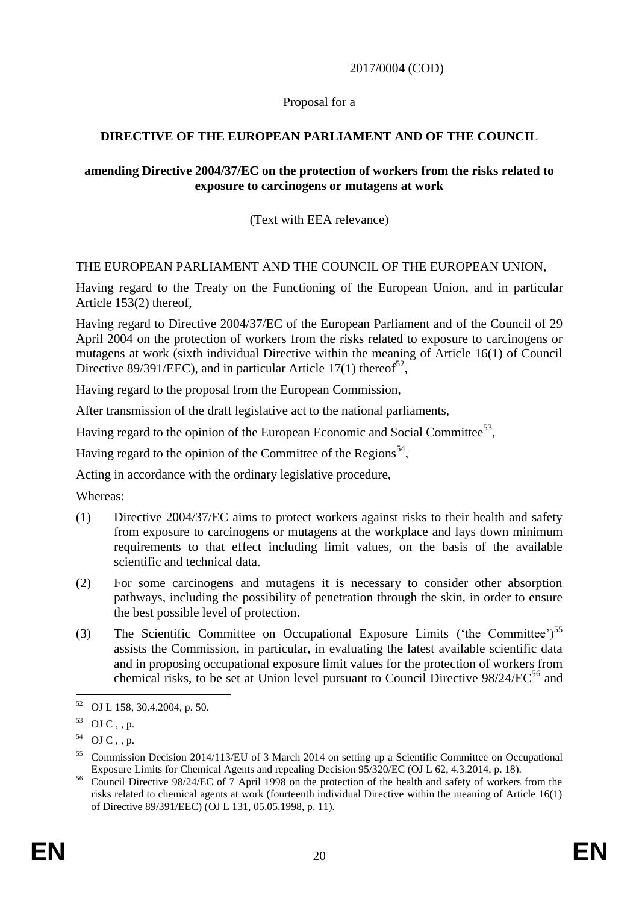2017/0004 (COD)

## Proposal for a

# **DIRECTIVE OF THE EUROPEAN PARLIAMENT AND OF THE COUNCIL**

#### **amending Directive 2004/37/EC on the protection of workers from the risks related to exposure to carcinogens or mutagens at work**

## (Text with EEA relevance)

## THE EUROPEAN PARLIAMENT AND THE COUNCIL OF THE EUROPEAN UNION,

Having regard to the Treaty on the Functioning of the European Union, and in particular Article 153(2) thereof,

Having regard to Directive 2004/37/EC of the European Parliament and of the Council of 29 April 2004 on the protection of workers from the risks related to exposure to carcinogens or mutagens at work (sixth individual Directive within the meaning of Article 16(1) of Council Directive 89/391/EEC), and in particular Article 17(1) thereof<sup>52</sup>,

Having regard to the proposal from the European Commission,

After transmission of the draft legislative act to the national parliaments,

Having regard to the opinion of the European Economic and Social Committee<sup>53</sup>,

Having regard to the opinion of the Committee of the Regions<sup>54</sup>,

Acting in accordance with the ordinary legislative procedure,

Whereas:

- (1) Directive 2004/37/EC aims to protect workers against risks to their health and safety from exposure to carcinogens or mutagens at the workplace and lays down minimum requirements to that effect including limit values, on the basis of the available scientific and technical data.
- (2) For some carcinogens and mutagens it is necessary to consider other absorption pathways, including the possibility of penetration through the skin, in order to ensure the best possible level of protection.
- (3) The Scientific Committee on Occupational Exposure Limits ('the Committee')<sup>55</sup> assists the Commission, in particular, in evaluating the latest available scientific data and in proposing occupational exposure limit values for the protection of workers from chemical risks, to be set at Union level pursuant to Council Directive 98/24/EC <sup>56</sup> and

<sup>&</sup>lt;u>.</u> <sup>52</sup> OJ L 158, 30.4.2004, p. 50.

 $53$  OJ C, , p.

 $54$  OJ C, , p.

<sup>55</sup> Commission Decision 2014/113/EU of 3 March 2014 on setting up a Scientific Committee on Occupational Exposure Limits for Chemical Agents and repealing Decision 95/320/EC (OJ L 62, 4.3.2014, p. 18).

<sup>&</sup>lt;sup>56</sup> Council Directive 98/24/EC of 7 April 1998 on the protection of the health and safety of workers from the risks related to chemical agents at work (fourteenth individual Directive within the meaning of Article 16(1) of Directive 89/391/EEC) (OJ L 131, 05.05.1998, p. 11).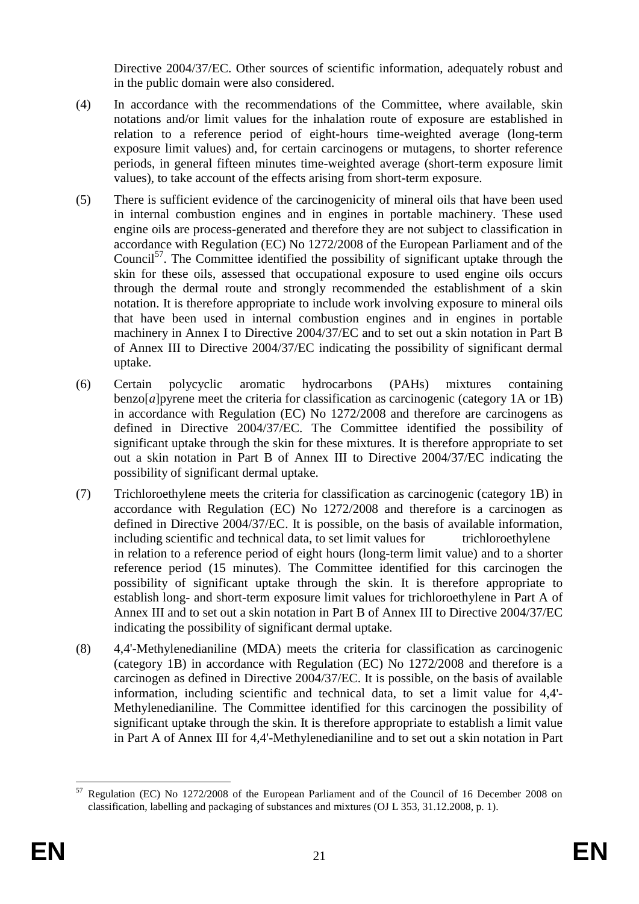Directive 2004/37/EC. Other sources of scientific information, adequately robust and in the public domain were also considered.

- (4) In accordance with the recommendations of the Committee, where available, skin notations and/or limit values for the inhalation route of exposure are established in relation to a reference period of eight-hours time-weighted average (long-term exposure limit values) and, for certain carcinogens or mutagens, to shorter reference periods, in general fifteen minutes time-weighted average (short-term exposure limit values), to take account of the effects arising from short-term exposure.
- (5) There is sufficient evidence of the carcinogenicity of mineral oils that have been used in internal combustion engines and in engines in portable machinery. These used engine oils are process-generated and therefore they are not subject to classification in accordance with Regulation (EC) No 1272/2008 of the European Parliament and of the Council<sup>57</sup>. The Committee identified the possibility of significant uptake through the skin for these oils, assessed that occupational exposure to used engine oils occurs through the dermal route and strongly recommended the establishment of a skin notation. It is therefore appropriate to include work involving exposure to mineral oils that have been used in internal combustion engines and in engines in portable machinery in Annex I to Directive 2004/37/EC and to set out a skin notation in Part B of Annex III to Directive 2004/37/EC indicating the possibility of significant dermal uptake.
- (6) Certain polycyclic aromatic hydrocarbons (PAHs) mixtures containing benzo[*a*]pyrene meet the criteria for classification as carcinogenic (category 1A or 1B) in accordance with Regulation (EC) No 1272/2008 and therefore are carcinogens as defined in Directive 2004/37/EC. The Committee identified the possibility of significant uptake through the skin for these mixtures. It is therefore appropriate to set out a skin notation in Part B of Annex III to Directive 2004/37/EC indicating the possibility of significant dermal uptake.
- (7) Trichloroethylene meets the criteria for classification as carcinogenic (category 1B) in accordance with Regulation (EC) No 1272/2008 and therefore is a carcinogen as defined in Directive 2004/37/EC. It is possible, on the basis of available information, including scientific and technical data, to set limit values for trichloroethylene in relation to a reference period of eight hours (long-term limit value) and to a shorter reference period (15 minutes). The Committee identified for this carcinogen the possibility of significant uptake through the skin. It is therefore appropriate to establish long- and short-term exposure limit values for trichloroethylene in Part A of Annex III and to set out a skin notation in Part B of Annex III to Directive 2004/37/EC indicating the possibility of significant dermal uptake.
- (8) 4,4'-Methylenedianiline (MDA) meets the criteria for classification as carcinogenic (category 1B) in accordance with Regulation (EC) No 1272/2008 and therefore is a carcinogen as defined in Directive 2004/37/EC. It is possible, on the basis of available information, including scientific and technical data, to set a limit value for 4,4'- Methylenedianiline. The Committee identified for this carcinogen the possibility of significant uptake through the skin. It is therefore appropriate to establish a limit value in Part A of Annex III for 4,4'-Methylenedianiline and to set out a skin notation in Part

<sup>1</sup> <sup>57</sup> Regulation (EC) No 1272/2008 of the European Parliament and of the Council of 16 December 2008 on classification, labelling and packaging of substances and mixtures (OJ L 353, 31.12.2008, p. 1).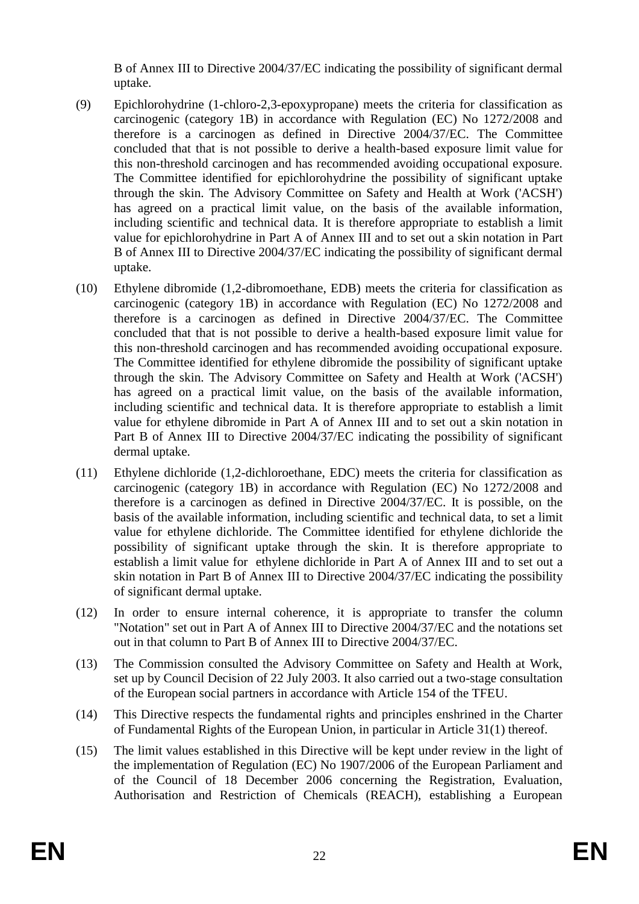B of Annex III to Directive 2004/37/EC indicating the possibility of significant dermal uptake.

- (9) Epichlorohydrine (1-chloro-2,3-epoxypropane) meets the criteria for classification as carcinogenic (category 1B) in accordance with Regulation (EC) No 1272/2008 and therefore is a carcinogen as defined in Directive 2004/37/EC. The Committee concluded that that is not possible to derive a health-based exposure limit value for this non-threshold carcinogen and has recommended avoiding occupational exposure. The Committee identified for epichlorohydrine the possibility of significant uptake through the skin. The Advisory Committee on Safety and Health at Work ('ACSH') has agreed on a practical limit value, on the basis of the available information, including scientific and technical data. It is therefore appropriate to establish a limit value for epichlorohydrine in Part A of Annex III and to set out a skin notation in Part B of Annex III to Directive 2004/37/EC indicating the possibility of significant dermal uptake.
- (10) Ethylene dibromide (1,2-dibromoethane, EDB) meets the criteria for classification as carcinogenic (category 1B) in accordance with Regulation (EC) No 1272/2008 and therefore is a carcinogen as defined in Directive 2004/37/EC. The Committee concluded that that is not possible to derive a health-based exposure limit value for this non-threshold carcinogen and has recommended avoiding occupational exposure. The Committee identified for ethylene dibromide the possibility of significant uptake through the skin. The Advisory Committee on Safety and Health at Work ('ACSH') has agreed on a practical limit value, on the basis of the available information, including scientific and technical data. It is therefore appropriate to establish a limit value for ethylene dibromide in Part A of Annex III and to set out a skin notation in Part B of Annex III to Directive 2004/37/EC indicating the possibility of significant dermal uptake.
- (11) Ethylene dichloride (1,2-dichloroethane, EDC) meets the criteria for classification as carcinogenic (category 1B) in accordance with Regulation (EC) No 1272/2008 and therefore is a carcinogen as defined in Directive 2004/37/EC. It is possible, on the basis of the available information, including scientific and technical data, to set a limit value for ethylene dichloride. The Committee identified for ethylene dichloride the possibility of significant uptake through the skin. It is therefore appropriate to establish a limit value for ethylene dichloride in Part A of Annex III and to set out a skin notation in Part B of Annex III to Directive 2004/37/EC indicating the possibility of significant dermal uptake.
- (12) In order to ensure internal coherence, it is appropriate to transfer the column "Notation" set out in Part A of Annex III to Directive 2004/37/EC and the notations set out in that column to Part B of Annex III to Directive 2004/37/EC.
- (13) The Commission consulted the Advisory Committee on Safety and Health at Work, set up by Council Decision of 22 July 2003. It also carried out a two-stage consultation of the European social partners in accordance with Article 154 of the TFEU.
- (14) This Directive respects the fundamental rights and principles enshrined in the Charter of Fundamental Rights of the European Union, in particular in Article 31(1) thereof.
- (15) The limit values established in this Directive will be kept under review in the light of the implementation of Regulation (EC) No 1907/2006 of the European Parliament and of the Council of 18 December 2006 concerning the Registration, Evaluation, Authorisation and Restriction of Chemicals (REACH), establishing a European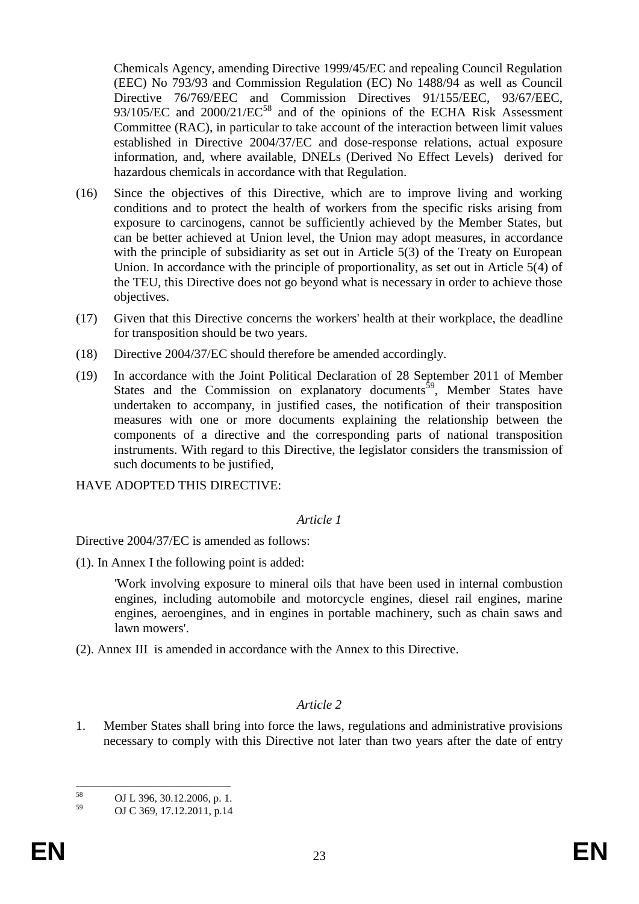Chemicals Agency, amending Directive 1999/45/EC and repealing Council Regulation (EEC) No 793/93 and Commission Regulation (EC) No 1488/94 as well as Council Directive 76/769/EEC and Commission Directives 91/155/EEC, 93/67/EEC, 93/105/EC and 2000/21/EC<sup>58</sup> and of the opinions of the ECHA Risk Assessment Committee (RAC), in particular to take account of the interaction between limit values established in Directive 2004/37/EC and dose-response relations, actual exposure information, and, where available, DNELs (Derived No Effect Levels) derived for hazardous chemicals in accordance with that Regulation.

- (16) Since the objectives of this Directive, which are to improve living and working conditions and to protect the health of workers from the specific risks arising from exposure to carcinogens, cannot be sufficiently achieved by the Member States, but can be better achieved at Union level, the Union may adopt measures, in accordance with the principle of subsidiarity as set out in Article 5(3) of the Treaty on European Union. In accordance with the principle of proportionality, as set out in Article 5(4) of the TEU, this Directive does not go beyond what is necessary in order to achieve those objectives.
- (17) Given that this Directive concerns the workers' health at their workplace, the deadline for transposition should be two years.
- (18) Directive 2004/37/EC should therefore be amended accordingly.
- (19) In accordance with the Joint Political Declaration of 28 September 2011 of Member States and the Commission on explanatory documents<sup>59</sup>, Member States have undertaken to accompany, in justified cases, the notification of their transposition measures with one or more documents explaining the relationship between the components of a directive and the corresponding parts of national transposition instruments. With regard to this Directive, the legislator considers the transmission of such documents to be justified,

HAVE ADOPTED THIS DIRECTIVE:

#### *Article 1*

Directive 2004/37/EC is amended as follows:

(1). In Annex I the following point is added:

'Work involving exposure to mineral oils that have been used in internal combustion engines, including automobile and motorcycle engines, diesel rail engines, marine engines, aeroengines, and in engines in portable machinery, such as chain saws and lawn mowers'.

(2). Annex III is amended in accordance with the Annex to this Directive.

#### *Article 2*

1. Member States shall bring into force the laws, regulations and administrative provisions necessary to comply with this Directive not later than two years after the date of entry

 $58$  $^{58}$  OJ L 396, 30.12.2006, p. 1.<br>
OJ C 260, 17, 12, 2011, p. 14

<sup>59</sup> OJ C 369, 17.12.2011, p.14